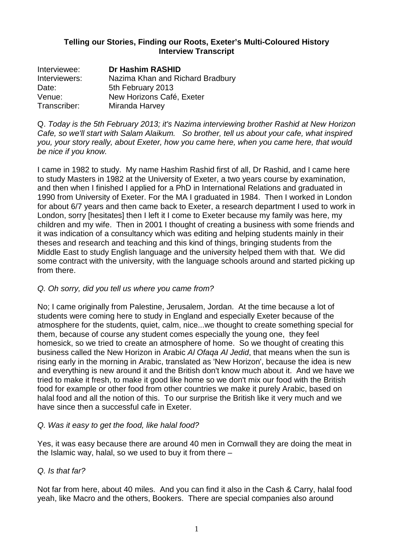### **Telling our Stories, Finding our Roots, Exeter's Multi-Coloured History Interview Transcript**

| Interviewee:  | <b>Dr Hashim RASHID</b>          |
|---------------|----------------------------------|
| Interviewers: | Nazima Khan and Richard Bradbury |
| Date:         | 5th February 2013                |
| Venue:        | New Horizons Café, Exeter        |
| Transcriber:  | Miranda Harvey                   |

Q. Today is the 5th February 2013; it's Nazima interviewing brother Rashid at New Horizon Cafe, so we'll start with Salam Alaikum. So brother, tell us about your cafe, what inspired you, your story really, about Exeter, how you came here, when you came here, that would be nice if you know.

I came in 1982 to study. My name Hashim Rashid first of all, Dr Rashid, and I came here to study Masters in 1982 at the University of Exeter, a two years course by examination, and then when I finished I applied for a PhD in International Relations and graduated in 1990 from University of Exeter. For the MA I graduated in 1984. Then I worked in London for about 6/7 years and then came back to Exeter, a research department I used to work in London, sorry [hesitates] then I left it I come to Exeter because my family was here, my children and my wife. Then in 2001 I thought of creating a business with some friends and it was indication of a consultancy which was editing and helping students mainly in their theses and research and teaching and this kind of things, bringing students from the Middle East to study English language and the university helped them with that. We did some contract with the university, with the language schools around and started picking up from there.

### Q. Oh sorry, did you tell us where you came from?

No; I came originally from Palestine, Jerusalem, Jordan. At the time because a lot of students were coming here to study in England and especially Exeter because of the atmosphere for the students, quiet, calm, nice...we thought to create something special for them, because of course any student comes especially the young one, they feel homesick, so we tried to create an atmosphere of home. So we thought of creating this business called the New Horizon in Arabic Al Ofaqa Al Jedid, that means when the sun is rising early in the morning in Arabic, translated as 'New Horizon', because the idea is new and everything is new around it and the British don't know much about it. And we have we tried to make it fresh, to make it good like home so we don't mix our food with the British food for example or other food from other countries we make it purely Arabic, based on halal food and all the notion of this. To our surprise the British like it very much and we have since then a successful cafe in Exeter.

### Q. Was it easy to get the food, like halal food?

Yes, it was easy because there are around 40 men in Cornwall they are doing the meat in the Islamic way, halal, so we used to buy it from there –

### Q. Is that far?

Not far from here, about 40 miles. And you can find it also in the Cash & Carry, halal food yeah, like Macro and the others, Bookers. There are special companies also around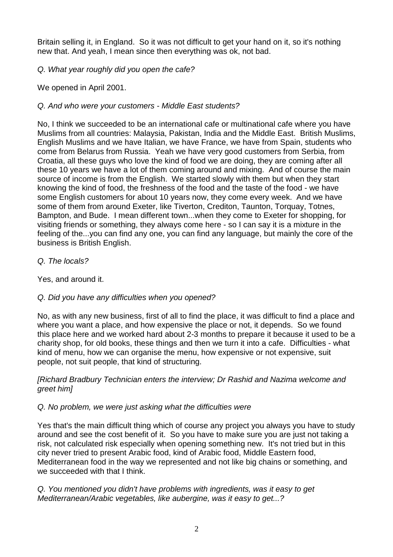Britain selling it, in England. So it was not difficult to get your hand on it, so it's nothing new that. And yeah, I mean since then everything was ok, not bad.

Q. What year roughly did you open the cafe?

We opened in April 2001.

## Q. And who were your customers - Middle East students?

No, I think we succeeded to be an international cafe or multinational cafe where you have Muslims from all countries: Malaysia, Pakistan, India and the Middle East. British Muslims, English Muslims and we have Italian, we have France, we have from Spain, students who come from Belarus from Russia. Yeah we have very good customers from Serbia, from Croatia, all these guys who love the kind of food we are doing, they are coming after all these 10 years we have a lot of them coming around and mixing. And of course the main source of income is from the English. We started slowly with them but when they start knowing the kind of food, the freshness of the food and the taste of the food - we have some English customers for about 10 years now, they come every week. And we have some of them from around Exeter, like Tiverton, Crediton, Taunton, Torquay, Totnes, Bampton, and Bude. I mean different town...when they come to Exeter for shopping, for visiting friends or something, they always come here - so I can say it is a mixture in the feeling of the...you can find any one, you can find any language, but mainly the core of the business is British English.

### Q. The locals?

Yes, and around it.

# Q. Did you have any difficulties when you opened?

No, as with any new business, first of all to find the place, it was difficult to find a place and where you want a place, and how expensive the place or not, it depends. So we found this place here and we worked hard about 2-3 months to prepare it because it used to be a charity shop, for old books, these things and then we turn it into a cafe. Difficulties - what kind of menu, how we can organise the menu, how expensive or not expensive, suit people, not suit people, that kind of structuring.

### [Richard Bradbury Technician enters the interview; Dr Rashid and Nazima welcome and greet him]

# Q. No problem, we were just asking what the difficulties were

Yes that's the main difficult thing which of course any project you always you have to study around and see the cost benefit of it. So you have to make sure you are just not taking a risk, not calculated risk especially when opening something new. It's not tried but in this city never tried to present Arabic food, kind of Arabic food, Middle Eastern food, Mediterranean food in the way we represented and not like big chains or something, and we succeeded with that I think.

Q. You mentioned you didn't have problems with ingredients, was it easy to get Mediterranean/Arabic vegetables, like aubergine, was it easy to get...?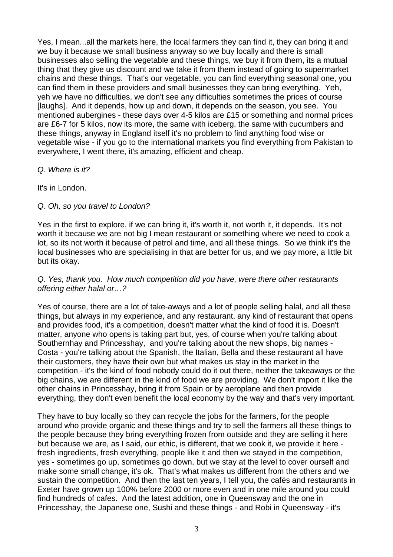Yes, I mean...all the markets here, the local farmers they can find it, they can bring it and we buy it because we small business anyway so we buy locally and there is small businesses also selling the vegetable and these things, we buy it from them, its a mutual thing that they give us discount and we take it from them instead of going to supermarket chains and these things. That's our vegetable, you can find everything seasonal one, you can find them in these providers and small businesses they can bring everything. Yeh, yeh we have no difficulties, we don't see any difficulties sometimes the prices of course [laughs]. And it depends, how up and down, it depends on the season, you see. You mentioned aubergines - these days over 4-5 kilos are £15 or something and normal prices are £6-7 for 5 kilos, now its more, the same with iceberg, the same with cucumbers and these things, anyway in England itself it's no problem to find anything food wise or vegetable wise - if you go to the international markets you find everything from Pakistan to everywhere, I went there, it's amazing, efficient and cheap.

### Q. Where is it?

It's in London.

### Q. Oh, so you travel to London?

Yes in the first to explore, if we can bring it, it's worth it, not worth it, it depends. It's not worth it because we are not big I mean restaurant or something where we need to cook a lot, so its not worth it because of petrol and time, and all these things. So we think it's the local businesses who are specialising in that are better for us, and we pay more, a little bit but its okay.

#### Q. Yes, thank you. How much competition did you have, were there other restaurants offering either halal or…?

Yes of course, there are a lot of take-aways and a lot of people selling halal, and all these things, but always in my experience, and any restaurant, any kind of restaurant that opens and provides food, it's a competition, doesn't matter what the kind of food it is. Doesn't matter, anyone who opens is taking part but, yes, of course when you're talking about Southernhay and Princesshay, and you're talking about the new shops, big names - Costa - you're talking about the Spanish, the Italian, Bella and these restaurant all have their customers, they have their own but what makes us stay in the market in the competition - it's the kind of food nobody could do it out there, neither the takeaways or the big chains, we are different in the kind of food we are providing. We don't import it like the other chains in Princesshay, bring it from Spain or by aeroplane and then provide everything, they don't even benefit the local economy by the way and that's very important.

They have to buy locally so they can recycle the jobs for the farmers, for the people around who provide organic and these things and try to sell the farmers all these things to the people because they bring everything frozen from outside and they are selling it here but because we are, as I said, our ethic, is different, that we cook it, we provide it here fresh ingredients, fresh everything, people like it and then we stayed in the competition, yes - sometimes go up, sometimes go down, but we stay at the level to cover ourself and make some small change, it's ok. That's what makes us different from the others and we sustain the competition. And then the last ten years, I tell you, the cafés and restaurants in Exeter have grown up 100% before 2000 or more even and in one mile around you could find hundreds of cafes. And the latest addition, one in Queensway and the one in Princesshay, the Japanese one, Sushi and these things - and Robi in Queensway - it's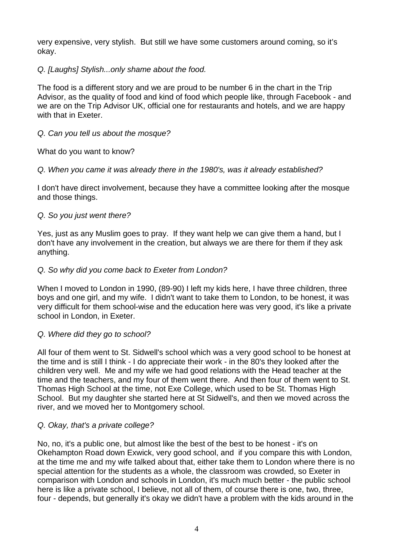very expensive, very stylish. But still we have some customers around coming, so it's okay.

Q. [Laughs] Stylish...only shame about the food.

The food is a different story and we are proud to be number 6 in the chart in the Trip Advisor, as the quality of food and kind of food which people like, through Facebook - and we are on the Trip Advisor UK, official one for restaurants and hotels, and we are happy with that in Exeter.

### Q. Can you tell us about the mosque?

What do you want to know?

Q. When you came it was already there in the 1980's, was it already established?

I don't have direct involvement, because they have a committee looking after the mosque and those things.

### Q. So you just went there?

Yes, just as any Muslim goes to pray. If they want help we can give them a hand, but I don't have any involvement in the creation, but always we are there for them if they ask anything.

#### Q. So why did you come back to Exeter from London?

When I moved to London in 1990, (89-90) I left my kids here, I have three children, three boys and one girl, and my wife. I didn't want to take them to London, to be honest, it was very difficult for them school-wise and the education here was very good, it's like a private school in London, in Exeter.

#### Q. Where did they go to school?

All four of them went to St. Sidwell's school which was a very good school to be honest at the time and is still I think - I do appreciate their work - in the 80's they looked after the children very well. Me and my wife we had good relations with the Head teacher at the time and the teachers, and my four of them went there. And then four of them went to St. Thomas High School at the time, not Exe College, which used to be St. Thomas High School. But my daughter she started here at St Sidwell's, and then we moved across the river, and we moved her to Montgomery school.

#### Q. Okay, that's a private college?

No, no, it's a public one, but almost like the best of the best to be honest - it's on Okehampton Road down Exwick, very good school, and if you compare this with London, at the time me and my wife talked about that, either take them to London where there is no special attention for the students as a whole, the classroom was crowded, so Exeter in comparison with London and schools in London, it's much much better - the public school here is like a private school, I believe, not all of them, of course there is one, two, three, four - depends, but generally it's okay we didn't have a problem with the kids around in the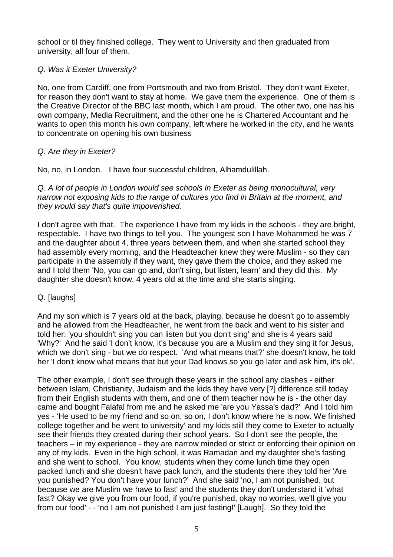school or til they finished college. They went to University and then graduated from university, all four of them.

### Q. Was it Exeter University?

No, one from Cardiff, one from Portsmouth and two from Bristol. They don't want Exeter, for reason they don't want to stay at home. We gave them the experience. One of them is the Creative Director of the BBC last month, which I am proud. The other two, one has his own company, Media Recruitment, and the other one he is Chartered Accountant and he wants to open this month his own company, left where he worked in the city, and he wants to concentrate on opening his own business

### Q. Are they in Exeter?

No, no, in London. I have four successful children, Alhamdulillah.

Q. A lot of people in London would see schools in Exeter as being monocultural, very narrow not exposing kids to the range of cultures you find in Britain at the moment, and they would say that's quite impoverished.

I don't agree with that. The experience I have from my kids in the schools - they are bright, respectable. I have two things to tell you. The youngest son I have Mohammed he was 7 and the daughter about 4, three years between them, and when she started school they had assembly every morning, and the Headteacher knew they were Muslim - so they can participate in the assembly if they want, they gave them the choice, and they asked me and I told them 'No, you can go and, don't sing, but listen, learn' and they did this. My daughter she doesn't know, 4 years old at the time and she starts singing.

### Q. [laughs]

And my son which is 7 years old at the back, playing, because he doesn't go to assembly and he allowed from the Headteacher, he went from the back and went to his sister and told her: 'you shouldn't sing you can listen but you don't sing' and she is 4 years said 'Why?' And he said 'I don't know, it's because you are a Muslim and they sing it for Jesus, which we don't sing - but we do respect. 'And what means that?' she doesn't know, he told her 'I don't know what means that but your Dad knows so you go later and ask him, it's ok'.

The other example, I don't see through these years in the school any clashes - either between Islam, Christianity, Judaism and the kids they have very [?] difference still today from their English students with them, and one of them teacher now he is - the other day came and bought Falafal from me and he asked me 'are you Yassa's dad?' And I told him yes - 'He used to be my friend and so on, so on, I don't know where he is now. We finished college together and he went to university' and my kids still they come to Exeter to actually see their friends they created during their school years. So I don't see the people, the teachers – in my experience - they are narrow minded or strict or enforcing their opinion on any of my kids. Even in the high school, it was Ramadan and my daughter she's fasting and she went to school. You know, students when they come lunch time they open packed lunch and she doesn't have pack lunch, and the students there they told her 'Are you punished? You don't have your lunch?' And she said 'no, I am not punished, but because we are Muslim we have to fast' and the students they don't understand it 'what fast? Okay we give you from our food, if you're punished, okay no worries, we'll give you from our food' - - 'no I am not punished I am just fasting!' [Laugh]. So they told the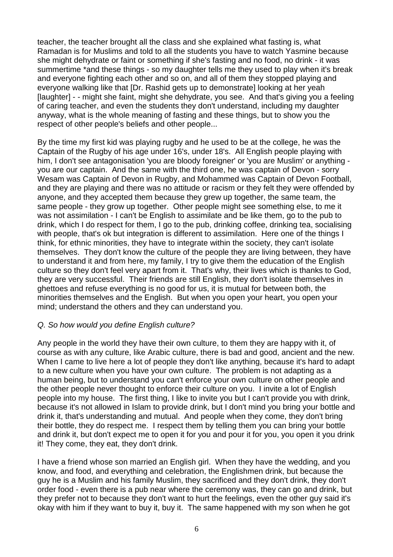teacher, the teacher brought all the class and she explained what fasting is, what Ramadan is for Muslims and told to all the students you have to watch Yasmine because she might dehydrate or faint or something if she's fasting and no food, no drink - it was summertime \*and these things - so my daughter tells me they used to play when it's break and everyone fighting each other and so on, and all of them they stopped playing and everyone walking like that [Dr. Rashid gets up to demonstrate] looking at her yeah [laughter] - - might she faint, might she dehydrate, you see. And that's giving you a feeling of caring teacher, and even the students they don't understand, including my daughter anyway, what is the whole meaning of fasting and these things, but to show you the respect of other people's beliefs and other people...

By the time my first kid was playing rugby and he used to be at the college, he was the Captain of the Rugby of his age under 16's, under 18's. All English people playing with him, I don't see antagonisation 'you are bloody foreigner' or 'you are Muslim' or anything you are our captain. And the same with the third one, he was captain of Devon - sorry Wesam was Captain of Devon in Rugby, and Mohammed was Captain of Devon Football, and they are playing and there was no attitude or racism or they felt they were offended by anyone, and they accepted them because they grew up together, the same team, the same people - they grow up together. Other people might see something else, to me it was not assimilation - I can't be English to assimilate and be like them, go to the pub to drink, which I do respect for them, I go to the pub, drinking coffee, drinking tea, socialising with people, that's ok but integration is different to assimilation. Here one of the things I think, for ethnic minorities, they have to integrate within the society, they can't isolate themselves. They don't know the culture of the people they are living between, they have to understand it and from here, my family, I try to give them the education of the English culture so they don't feel very apart from it. That's why, their lives which is thanks to God, they are very successful. Their friends are still English, they don't isolate themselves in ghettoes and refuse everything is no good for us, it is mutual for between both, the minorities themselves and the English. But when you open your heart, you open your mind; understand the others and they can understand you.

#### Q. So how would you define English culture?

Any people in the world they have their own culture, to them they are happy with it, of course as with any culture, like Arabic culture, there is bad and good, ancient and the new. When I came to live here a lot of people they don't like anything, because it's hard to adapt to a new culture when you have your own culture. The problem is not adapting as a human being, but to understand you can't enforce your own culture on other people and the other people never thought to enforce their culture on you. I invite a lot of English people into my house. The first thing, I like to invite you but I can't provide you with drink, because it's not allowed in Islam to provide drink, but I don't mind you bring your bottle and drink it, that's understanding and mutual. And people when they come, they don't bring their bottle, they do respect me. I respect them by telling them you can bring your bottle and drink it, but don't expect me to open it for you and pour it for you, you open it you drink it! They come, they eat, they don't drink.

I have a friend whose son married an English girl. When they have the wedding, and you know, and food, and everything and celebration, the Englishmen drink, but because the guy he is a Muslim and his family Muslim, they sacrificed and they don't drink, they don't order food - even there is a pub near where the ceremony was, they can go and drink, but they prefer not to because they don't want to hurt the feelings, even the other guy said it's okay with him if they want to buy it, buy it. The same happened with my son when he got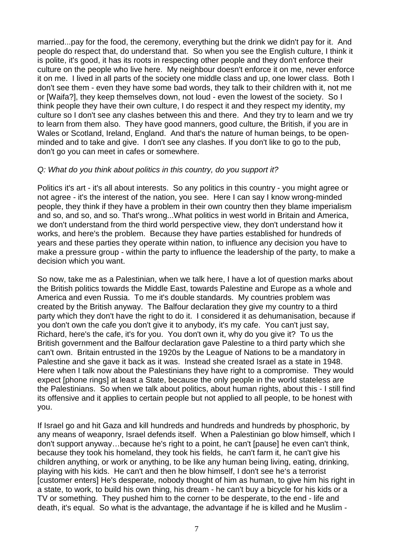married...pay for the food, the ceremony, everything but the drink we didn't pay for it. And people do respect that, do understand that. So when you see the English culture, I think it is polite, it's good, it has its roots in respecting other people and they don't enforce their culture on the people who live here. My neighbour doesn't enforce it on me, never enforce it on me. I lived in all parts of the society one middle class and up, one lower class. Both I don't see them - even they have some bad words, they talk to their children with it, not me or [Waifa?], they keep themselves down, not loud - even the lowest of the society. So I think people they have their own culture, I do respect it and they respect my identity, my culture so I don't see any clashes between this and there. And they try to learn and we try to learn from them also. They have good manners, good culture, the British, if you are in Wales or Scotland, Ireland, England. And that's the nature of human beings, to be openminded and to take and give. I don't see any clashes. If you don't like to go to the pub, don't go you can meet in cafes or somewhere.

### Q: What do you think about politics in this country, do you support it?

Politics it's art - it's all about interests. So any politics in this country - you might agree or not agree - it's the interest of the nation, you see. Here I can say I know wrong-minded people, they think if they have a problem in their own country then they blame imperialism and so, and so, and so. That's wrong...What politics in west world in Britain and America, we don't understand from the third world perspective view, they don't understand how it works, and here's the problem. Because they have parties established for hundreds of years and these parties they operate within nation, to influence any decision you have to make a pressure group - within the party to influence the leadership of the party, to make a decision which you want.

So now, take me as a Palestinian, when we talk here, I have a lot of question marks about the British politics towards the Middle East, towards Palestine and Europe as a whole and America and even Russia. To me it's double standards. My countries problem was created by the British anyway. The Balfour declaration they give my country to a third party which they don't have the right to do it. I considered it as dehumanisation, because if you don't own the cafe you don't give it to anybody, it's my cafe. You can't just say, Richard, here's the cafe, it's for you. You don't own it, why do you give it? To us the British government and the Balfour declaration gave Palestine to a third party which she can't own. Britain entrusted in the 1920s by the League of Nations to be a mandatory in Palestine and she gave it back as it was. Instead she created Israel as a state in 1948. Here when I talk now about the Palestinians they have right to a compromise. They would expect [phone rings] at least a State, because the only people in the world stateless are the Palestinians. So when we talk about politics, about human rights, about this - I still find its offensive and it applies to certain people but not applied to all people, to be honest with you.

If Israel go and hit Gaza and kill hundreds and hundreds and hundreds by phosphoric, by any means of weaponry, Israel defends itself. When a Palestinian go blow himself, which I don't support anyway…because he's right to a point, he can't [pause] he even can't think, because they took his homeland, they took his fields, he can't farm it, he can't give his children anything, or work or anything, to be like any human being living, eating, drinking, playing with his kids. He can't and then he blow himself, I don't see he's a terrorist [customer enters] He's desperate, nobody thought of him as human, to give him his right in a state, to work, to build his own thing, his dream - he can't buy a bicycle for his kids or a TV or something. They pushed him to the corner to be desperate, to the end - life and death, it's equal. So what is the advantage, the advantage if he is killed and he Muslim -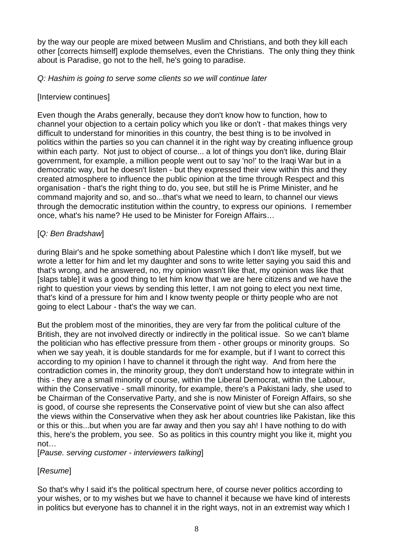by the way our people are mixed between Muslim and Christians, and both they kill each other [corrects himself] explode themselves, even the Christians. The only thing they think about is Paradise, go not to the hell, he's going to paradise.

### Q: Hashim is going to serve some clients so we will continue later

### [Interview continues]

Even though the Arabs generally, because they don't know how to function, how to channel your objection to a certain policy which you like or don't - that makes things very difficult to understand for minorities in this country, the best thing is to be involved in politics within the parties so you can channel it in the right way by creating influence group within each party. Not just to object of course... a lot of things you don't like, during Blair government, for example, a million people went out to say 'no!' to the Iraqi War but in a democratic way, but he doesn't listen - but they expressed their view within this and they created atmosphere to influence the public opinion at the time through Respect and this organisation - that's the right thing to do, you see, but still he is Prime Minister, and he command majority and so, and so...that's what we need to learn, to channel our views through the democratic institution within the country, to express our opinions. I remember once, what's his name? He used to be Minister for Foreign Affairs…

### [Q: Ben Bradshaw]

during Blair's and he spoke something about Palestine which I don't like myself, but we wrote a letter for him and let my daughter and sons to write letter saying you said this and that's wrong, and he answered, no, my opinion wasn't like that, my opinion was like that [slaps table] it was a good thing to let him know that we are here citizens and we have the right to question your views by sending this letter, I am not going to elect you next time, that's kind of a pressure for him and I know twenty people or thirty people who are not going to elect Labour - that's the way we can.

But the problem most of the minorities, they are very far from the political culture of the British, they are not involved directly or indirectly in the political issue. So we can't blame the politician who has effective pressure from them - other groups or minority groups. So when we say yeah, it is double standards for me for example, but if I want to correct this according to my opinion I have to channel it through the right way. And from here the contradiction comes in, the minority group, they don't understand how to integrate within in this - they are a small minority of course, within the Liberal Democrat, within the Labour, within the Conservative - small minority, for example, there's a Pakistani lady, she used to be Chairman of the Conservative Party, and she is now Minister of Foreign Affairs, so she is good, of course she represents the Conservative point of view but she can also affect the views within the Conservative when they ask her about countries like Pakistan, like this or this or this...but when you are far away and then you say ah! I have nothing to do with this, here's the problem, you see. So as politics in this country might you like it, might you not…

[Pause. serving customer - interviewers talking]

### [Resume]

So that's why I said it's the political spectrum here, of course never politics according to your wishes, or to my wishes but we have to channel it because we have kind of interests in politics but everyone has to channel it in the right ways, not in an extremist way which I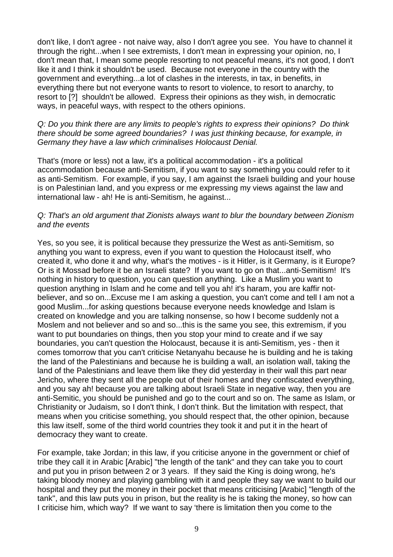don't like, I don't agree - not naive way, also I don't agree you see. You have to channel it through the right...when I see extremists, I don't mean in expressing your opinion, no, I don't mean that, I mean some people resorting to not peaceful means, it's not good, I don't like it and I think it shouldn't be used. Because not everyone in the country with the government and everything...a lot of clashes in the interests, in tax, in benefits, in everything there but not everyone wants to resort to violence, to resort to anarchy, to resort to [?] shouldn't be allowed. Express their opinions as they wish, in democratic ways, in peaceful ways, with respect to the others opinions.

#### Q: Do you think there are any limits to people's rights to express their opinions? Do think there should be some agreed boundaries? I was just thinking because, for example, in Germany they have a law which criminalises Holocaust Denial.

That's (more or less) not a law, it's a political accommodation - it's a political accommodation because anti-Semitism, if you want to say something you could refer to it as anti-Semitism. For example, if you say, I am against the Israeli building and your house is on Palestinian land, and you express or me expressing my views against the law and international law - ah! He is anti-Semitism, he against...

#### Q: That's an old argument that Zionists always want to blur the boundary between Zionism and the events

Yes, so you see, it is political because they pressurize the West as anti-Semitism, so anything you want to express, even if you want to question the Holocaust itself, who created it, who done it and why, what's the motives - is it Hitler, is it Germany, is it Europe? Or is it Mossad before it be an Israeli state? If you want to go on that...anti-Semitism! It's nothing in history to question, you can question anything. Like a Muslim you want to question anything in Islam and he come and tell you ah! it's haram, you are kaffir notbeliever, and so on...Excuse me I am asking a question, you can't come and tell I am not a good Muslim...for asking questions because everyone needs knowledge and Islam is created on knowledge and you are talking nonsense, so how I become suddenly not a Moslem and not believer and so and so...this is the same you see, this extremism, if you want to put boundaries on things, then you stop your mind to create and if we say boundaries, you can't question the Holocaust, because it is anti-Semitism, yes - then it comes tomorrow that you can't criticise Netanyahu because he is building and he is taking the land of the Palestinians and because he is building a wall, an isolation wall, taking the land of the Palestinians and leave them like they did yesterday in their wall this part near Jericho, where they sent all the people out of their homes and they confiscated everything, and you say ah! because you are talking about Israeli State in negative way, then you are anti-Semitic, you should be punished and go to the court and so on. The same as Islam, or Christianity or Judaism, so I don't think, I don't think. But the limitation with respect, that means when you criticise something, you should respect that, the other opinion, because this law itself, some of the third world countries they took it and put it in the heart of democracy they want to create.

For example, take Jordan; in this law, if you criticise anyone in the government or chief of tribe they call it in Arabic [Arabic] "the length of the tank" and they can take you to court and put you in prison between 2 or 3 years. If they said the King is doing wrong, he's taking bloody money and playing gambling with it and people they say we want to build our hospital and they put the money in their pocket that means criticising [Arabic] "length of the tank", and this law puts you in prison, but the reality is he is taking the money, so how can I criticise him, which way? If we want to say 'there is limitation then you come to the